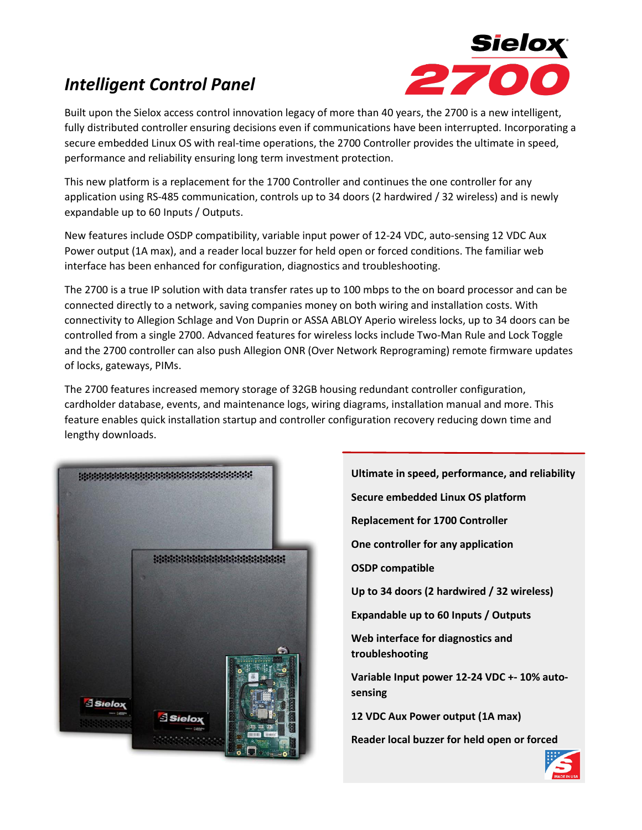# *Intelligent Control Panel*



Built upon the Sielox access control innovation legacy of more than 40 years, the 2700 is a new intelligent, fully distributed controller ensuring decisions even if communications have been interrupted. Incorporating a secure embedded Linux OS with real-time operations, the 2700 Controller provides the ultimate in speed, performance and reliability ensuring long term investment protection.

This new platform is a replacement for the 1700 Controller and continues the one controller for any application using RS-485 communication, controls up to 34 doors (2 hardwired / 32 wireless) and is newly expandable up to 60 Inputs / Outputs.

New features include OSDP compatibility, variable input power of 12-24 VDC, auto-sensing 12 VDC Aux Power output (1A max), and a reader local buzzer for held open or forced conditions. The familiar web interface has been enhanced for configuration, diagnostics and troubleshooting.

The 2700 is a true IP solution with data transfer rates up to 100 mbps to the on board processor and can be connected directly to a network, saving companies money on both wiring and installation costs. With connectivity to Allegion Schlage and Von Duprin or ASSA ABLOY Aperio wireless locks, up to 34 doors can be controlled from a single 2700. Advanced features for wireless locks include Two-Man Rule and Lock Toggle and the 2700 controller can also push Allegion ONR (Over Network Reprograming) remote firmware updates of locks, gateways, PIMs.

The 2700 features increased memory storage of 32GB housing redundant controller configuration, cardholder database, events, and maintenance logs, wiring diagrams, installation manual and more. This feature enables quick installation startup and controller configuration recovery reducing down time and lengthy downloads.



**Ultimate in speed, performance, and reliability Secure embedded Linux OS platform Replacement for 1700 Controller One controller for any application OSDP compatible Up to 34 doors (2 hardwired / 32 wireless) Expandable up to 60 Inputs / Outputs Web interface for diagnostics and troubleshooting Variable Input power 12-24 VDC +- 10% autosensing 12 VDC Aux Power output (1A max) Reader local buzzer for held open or forced** 

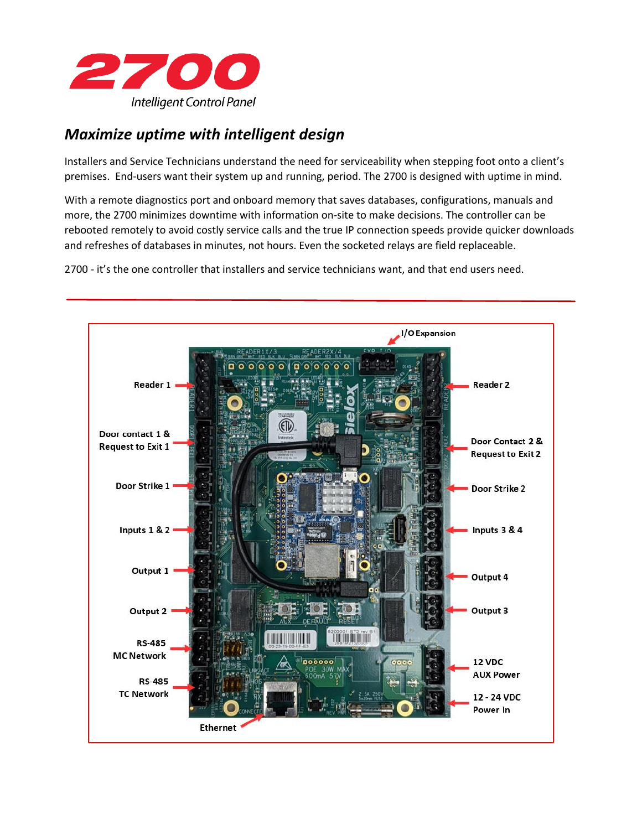

# *Maximize uptime with intelligent design*

Installers and Service Technicians understand the need for serviceability when stepping foot onto a client's premises. End-users want their system up and running, period. The 2700 is designed with uptime in mind.

With a remote diagnostics port and onboard memory that saves databases, configurations, manuals and more, the 2700 minimizes downtime with information on-site to make decisions. The controller can be rebooted remotely to avoid costly service calls and the true IP connection speeds provide quicker downloads and refreshes of databases in minutes, not hours. Even the socketed relays are field replaceable.

2700 - it's the one controller that installers and service technicians want, and that end users need.

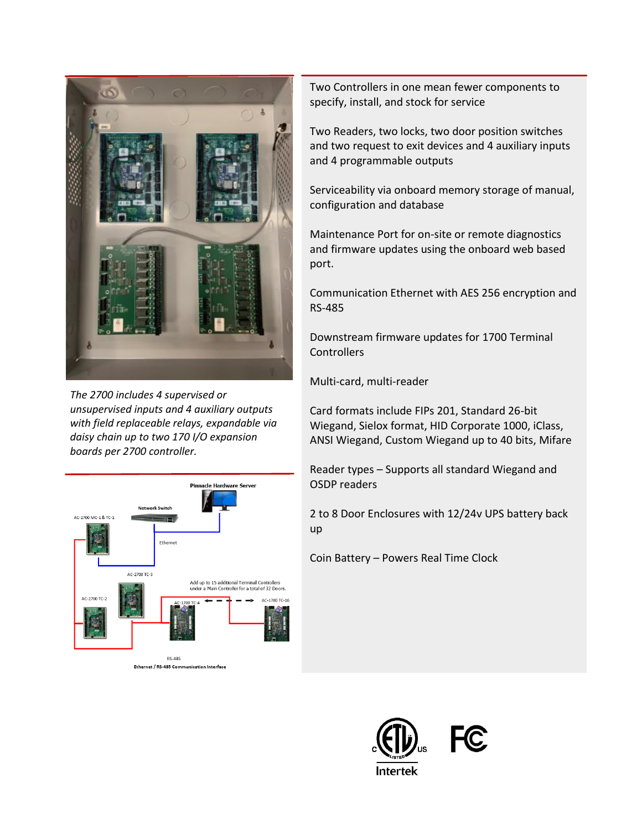

*The 2700 includes 4 supervised or unsupervised inputs and 4 auxiliary outputs with field replaceable relays, expandable via daisy chain up to two 170 I/O expansion boards per 2700 controller.*



Ethernet / RS-485 Communication Interface

Two Controllers in one mean fewer components to specify, install, and stock for service

Two Readers, two locks, two door position switches and two request to exit devices and 4 auxiliary inputs and 4 programmable outputs

Serviceability via onboard memory storage of manual, configuration and database

Maintenance Port for on-site or remote diagnostics and firmware updates using the onboard web based port.

Communication Ethernet with AES 256 encryption and RS-485

Downstream firmware updates for 1700 Terminal **Controllers** 

Multi-card, multi-reader

Card formats include FIPs 201, Standard 26-bit Wiegand, Sielox format, HID Corporate 1000, iClass, ANSI Wiegand, Custom Wiegand up to 40 bits, Mifare

Reader types – Supports all standard Wiegand and OSDP readers

2 to 8 Door Enclosures with 12/24v UPS battery back up

Coin Battery – Powers Real Time Clock